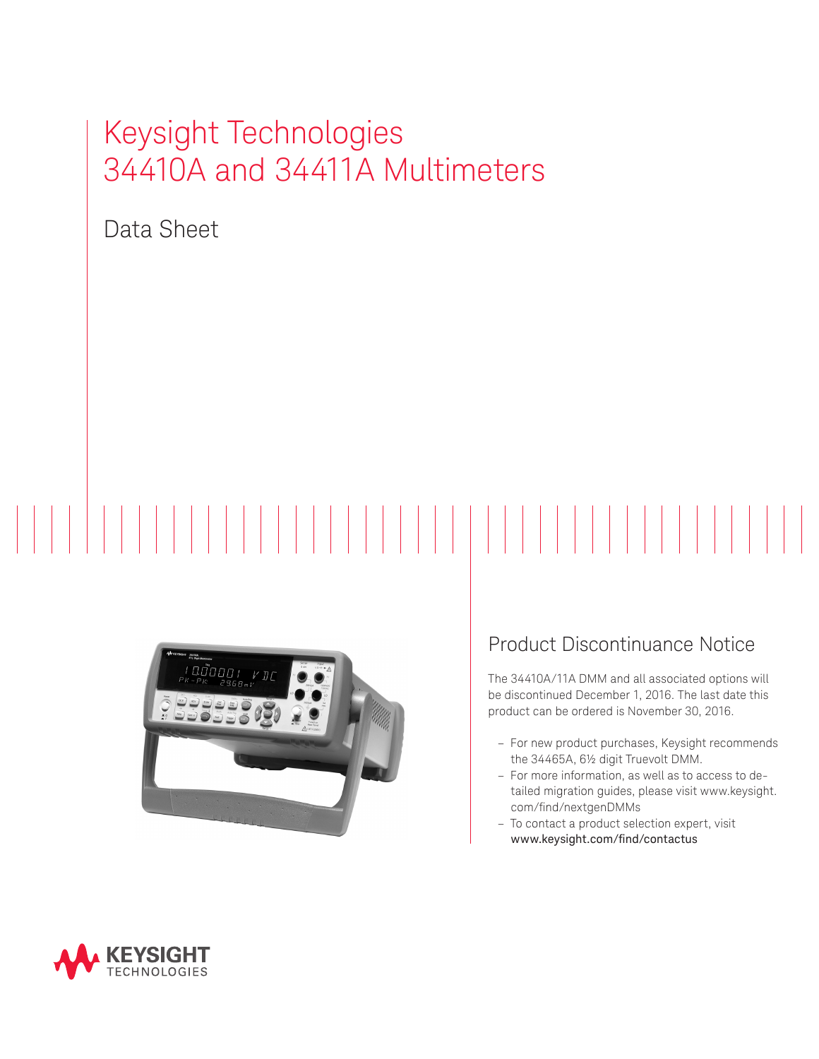# Keysight Technologies 34410A and 34411A Multimeters

Data Sheet

# $\begin{array}{c|c|c|c|c|c} \hline & & & & & & \\ \hline & & & & & & & \\ \hline & & & & & & & & \\ \hline & & & & & & & & & \\ \hline \end{array}$



# Product Discontinuance Notice

The 34410A/11A DMM and all associated options will be discontinued December 1, 2016. The last date this product can be ordered is November 30, 2016.

- For new product purchases, Keysight recommends the 34465A, 6½ digit Truevolt DMM.
- For more information, as well as to access to detailed migration guides, please visit www.keysight. com/find/nextgenDMMs
- To contact a product selection expert, visit www.keysight.com/find/contactus

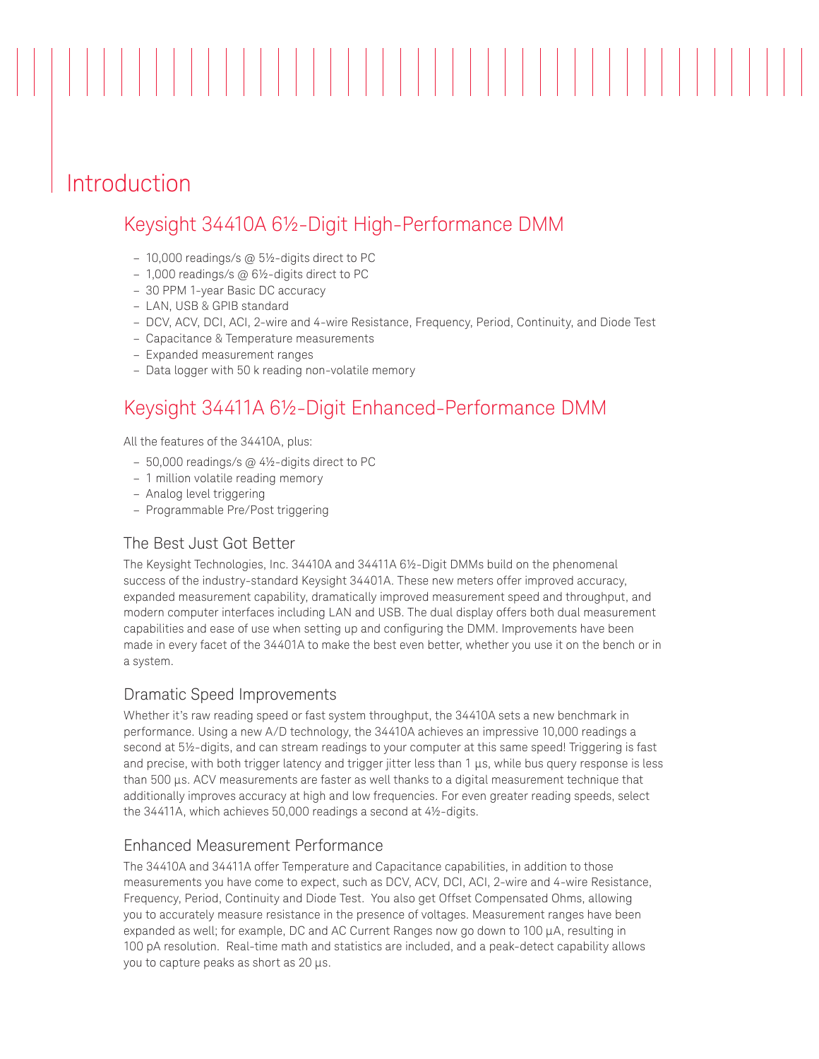# Introduction

## Keysight 34410A 6½-Digit High-Performance DMM

- 10,000 readings/s @ 5½-digits direct to PC
- 1,000 readings/s @ 6½-digits direct to PC
- 30 PPM 1-year Basic DC accuracy
- LAN, USB & GPIB standard
- DCV, ACV, DCI, ACI, 2-wire and 4-wire Resistance, Frequency, Period, Continuity, and Diode Test

- Capacitance & Temperature measurements
- Expanded measurement ranges
- Data logger with 50 k reading non-volatile memory

## Keysight 34411A 6½-Digit Enhanced-Performance DMM

All the features of the 34410A, plus:

- 50,000 readings/s @ 4½-digits direct to PC
- 1 million volatile reading memory
- Analog level triggering
- Programmable Pre/Post triggering

## The Best Just Got Better

The Keysight Technologies, Inc. 34410A and 34411A 6½-Digit DMMs build on the phenomenal success of the industry-standard Keysight 34401A. These new meters offer improved accuracy, expanded measurement capability, dramatically improved measurement speed and throughput, and modern computer interfaces including LAN and USB. The dual display offers both dual measurement capabilities and ease of use when setting up and configuring the DMM. Improvements have been made in every facet of the 34401A to make the best even better, whether you use it on the bench or in a system.

#### Dramatic Speed Improvements

Whether it's raw reading speed or fast system throughput, the 34410A sets a new benchmark in performance. Using a new A/D technology, the 34410A achieves an impressive 10,000 readings a second at 5½-digits, and can stream readings to your computer at this same speed! Triggering is fast and precise, with both trigger latency and trigger jitter less than 1  $\mu$ s, while bus query response is less than 500 µs. ACV measurements are faster as well thanks to a digital measurement technique that additionally improves accuracy at high and low frequencies. For even greater reading speeds, select the 34411A, which achieves 50,000 readings a second at 4½-digits.

#### Enhanced Measurement Performance

The 34410A and 34411A offer Temperature and Capacitance capabilities, in addition to those measurements you have come to expect, such as DCV, ACV, DCI, ACI, 2-wire and 4-wire Resistance, Frequency, Period, Continuity and Diode Test. You also get Offset Compensated Ohms, allowing you to accurately measure resistance in the presence of voltages. Measurement ranges have been expanded as well; for example, DC and AC Current Ranges now go down to 100 µA, resulting in 100 pA resolution. Real-time math and statistics are included, and a peak-detect capability allows you to capture peaks as short as 20 µs.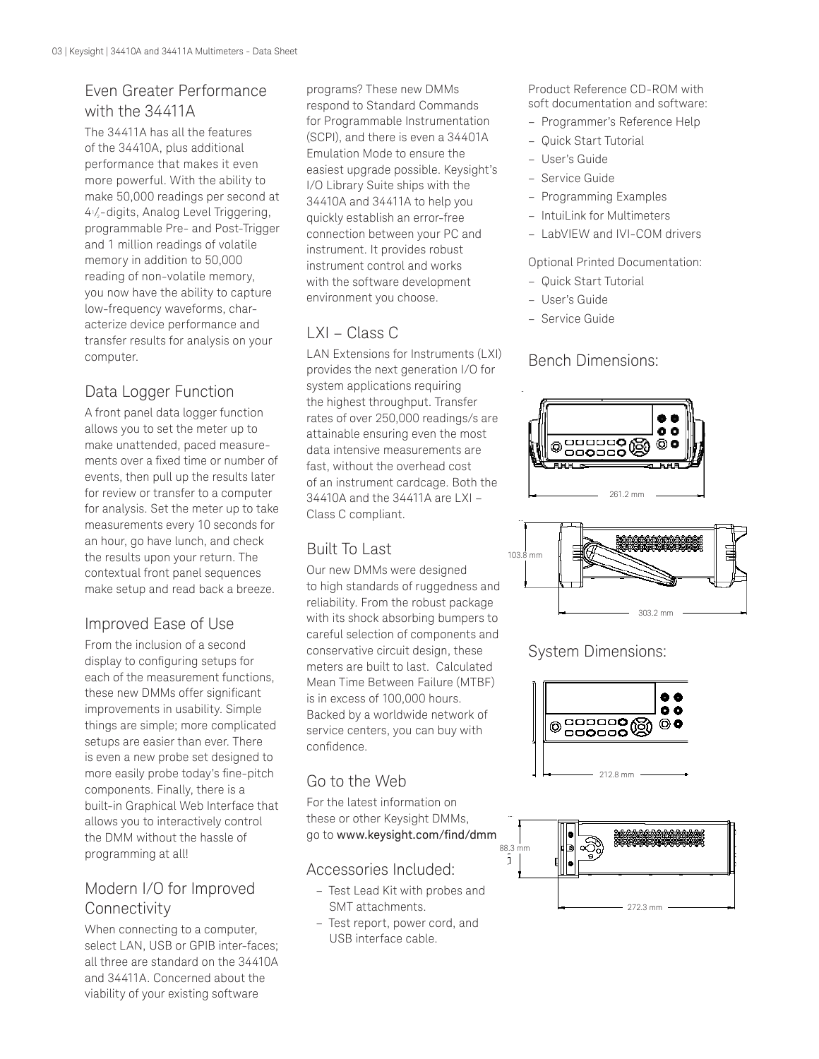## Even Greater Performance with the 34411A

The 34411A has all the features of the 34410A, plus additional performance that makes it even more powerful. With the ability to make 50,000 readings per second at 41 /2 -digits, Analog Level Triggering, programmable Pre- and Post-Trigger and 1 million readings of volatile memory in addition to 50,000 reading of non-volatile memory, you now have the ability to capture low-frequency waveforms, characterize device performance and transfer results for analysis on your computer.

## Data Logger Function

A front panel data logger function allows you to set the meter up to make unattended, paced measurements over a fixed time or number of events, then pull up the results later for review or transfer to a computer for analysis. Set the meter up to take measurements every 10 seconds for an hour, go have lunch, and check the results upon your return. The contextual front panel sequences make setup and read back a breeze.

## Improved Ease of Use

From the inclusion of a second display to configuring setups for each of the measurement functions, these new DMMs offer significant improvements in usability. Simple things are simple; more complicated setups are easier than ever. There is even a new probe set designed to more easily probe today's fine-pitch components. Finally, there is a built-in Graphical Web Interface that allows you to interactively control the DMM without the hassle of programming at all!

## Modern I/O for Improved **Connectivity**

When connecting to a computer, select LAN, USB or GPIB inter-faces; all three are standard on the 34410A and 34411A. Concerned about the viability of your existing software

programs? These new DMMs respond to Standard Commands for Programmable Instrumentation (SCPI), and there is even a 34401A Emulation Mode to ensure the easiest upgrade possible. Keysight's I/O Library Suite ships with the 34410A and 34411A to help you quickly establish an error-free connection between your PC and instrument. It provides robust instrument control and works with the software development environment you choose.

## LXI – Class C

LAN Extensions for Instruments (LXI) provides the next generation I/O for system applications requiring the highest throughput. Transfer rates of over 250,000 readings/s are attainable ensuring even the most data intensive measurements are fast, without the overhead cost of an instrument cardcage. Both the 34410A and the 34411A are LXI – Class C compliant.

## Built To Last

Our new DMMs were designed to high standards of ruggedness and reliability. From the robust package with its shock absorbing bumpers to careful selection of components and conservative circuit design, these meters are built to last. Calculated Mean Time Between Failure (MTBF) is in excess of 100,000 hours. Backed by a worldwide network of service centers, you can buy with confidence.

## Go to the Web

For the latest information on these or other Keysight DMMs, go to [www.keysight.com/find/dmm](http://www.keysight.com/find/dmm)

## Accessories Included:

- Test Lead Kit with probes and SMT attachments.
- Test report, power cord, and USB interface cable.

Product Reference CD-ROM with soft documentation and software:

- Programmer's Reference Help
- Quick Start Tutorial
- User's Guide
- Service Guide
- Programming Examples
- IntuiLink for Multimeters
- LabVIEW and IVI-COM drivers

## Optional Printed Documentation:

- Quick Start Tutorial
- User's Guide
- Service Guide

## Bench Dimensions:





## System Dimensions:



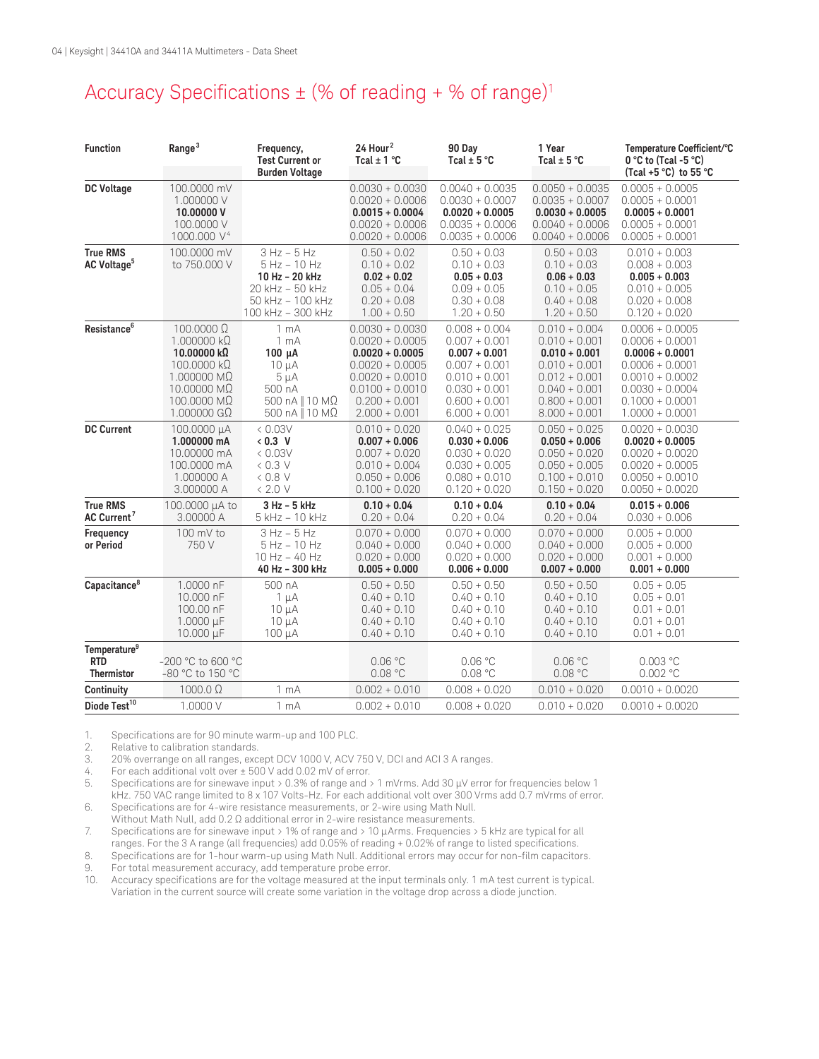# Accuracy Specifications  $\pm$  (% of reading + % of range)<sup>1</sup>

| <b>Function</b>                                      | Range <sup>3</sup>                                                                                                                                         | Frequency,<br><b>Test Current or</b><br><b>Burden Voltage</b>                                                                | 24 Hour <sup>2</sup><br>Tcal $\pm$ 1 °C                                                                                                                          | 90 Day<br>Tcal $\pm$ 5 °C                                                                                                                            | 1 Year<br>Tcal $\pm$ 5 °C                                                                                                                            | Temperature Coefficient/°C<br>$0 °C$ to (Tcal -5 $°C$ )<br>(Tcal +5 $^{\circ}$ C) to 55 $^{\circ}$ C                                                                 |
|------------------------------------------------------|------------------------------------------------------------------------------------------------------------------------------------------------------------|------------------------------------------------------------------------------------------------------------------------------|------------------------------------------------------------------------------------------------------------------------------------------------------------------|------------------------------------------------------------------------------------------------------------------------------------------------------|------------------------------------------------------------------------------------------------------------------------------------------------------|----------------------------------------------------------------------------------------------------------------------------------------------------------------------|
| <b>DC Voltage</b>                                    | 100.0000 mV<br>1.000000 V<br>10.00000V<br>100.0000 V<br>1000.000 V <sup>4</sup>                                                                            |                                                                                                                              | $0.0030 + 0.0030$<br>$0.0020 + 0.0006$<br>$0.0015 + 0.0004$<br>$0.0020 + 0.0006$<br>$0.0020 + 0.0006$                                                            | $0.0040 + 0.0035$<br>$0.0030 + 0.0007$<br>$0.0020 + 0.0005$<br>$0.0035 + 0.0006$<br>$0.0035 + 0.0006$                                                | $0.0050 + 0.0035$<br>$0.0035 + 0.0007$<br>$0.0030 + 0.0005$<br>$0.0040 + 0.0006$<br>$0.0040 + 0.0006$                                                | $0.0005 + 0.0005$<br>$0.0005 + 0.0001$<br>$0.0005 + 0.0001$<br>$0.0005 + 0.0001$<br>$0.0005 + 0.0001$                                                                |
| <b>True RMS</b><br>AC Voltage <sup>5</sup>           | 100.0000 mV<br>to 750.000 V                                                                                                                                | $3 Hz - 5 Hz$<br>$5$ Hz $-$ 10 Hz<br>10 Hz - 20 kHz<br>20 kHz - 50 kHz<br>50 kHz - 100 kHz<br>100 kHz - 300 kHz              | $0.50 + 0.02$<br>$0.10 + 0.02$<br>$0.02 + 0.02$<br>$0.05 + 0.04$<br>$0.20 + 0.08$<br>$1.00 + 0.50$                                                               | $0.50 + 0.03$<br>$0.10 + 0.03$<br>$0.05 + 0.03$<br>$0.09 + 0.05$<br>$0.30 + 0.08$<br>$1.20 + 0.50$                                                   | $0.50 + 0.03$<br>$0.10 + 0.03$<br>$0.06 + 0.03$<br>$0.10 + 0.05$<br>$0.40 + 0.08$<br>$1.20 + 0.50$                                                   | $0.010 + 0.003$<br>$0.008 + 0.003$<br>$0.005 + 0.003$<br>$0.010 + 0.005$<br>$0.020 + 0.008$<br>$0.120 + 0.020$                                                       |
| Resistance <sup>6</sup>                              | $100.0000 \Omega$<br>$1.000000 \text{ k}\Omega$<br>10.00000 kΩ<br>$100.0000 k\Omega$<br>1.000000 MΩ<br>10.00000 MΩ<br>100.0000 MΩ<br>$1.000000$ G $\Omega$ | 1 <sub>mA</sub><br>1 <sub>mA</sub><br>$100 \mu A$<br>$10 \mu A$<br>$5 \mu A$<br>500 nA<br>500 nA    10 MΩ<br>500 nA    10 MΩ | $0.0030 + 0.0030$<br>$0.0020 + 0.0005$<br>$0.0020 + 0.0005$<br>$0.0020 + 0.0005$<br>$0.0020 + 0.0010$<br>$0.0100 + 0.0010$<br>$0.200 + 0.001$<br>$2.000 + 0.001$ | $0.008 + 0.004$<br>$0.007 + 0.001$<br>$0.007 + 0.001$<br>$0.007 + 0.001$<br>$0.010 + 0.001$<br>$0.030 + 0.001$<br>$0.600 + 0.001$<br>$6.000 + 0.001$ | $0.010 + 0.004$<br>$0.010 + 0.001$<br>$0.010 + 0.001$<br>$0.010 + 0.001$<br>$0.012 + 0.001$<br>$0.040 + 0.001$<br>$0.800 + 0.001$<br>$8.000 + 0.001$ | $0.0006 + 0.0005$<br>$0.0006 + 0.0001$<br>$0.0006 + 0.0001$<br>$0.0006 + 0.0001$<br>$0.0010 + 0.0002$<br>$0.0030 + 0.0004$<br>$0.1000 + 0.0001$<br>$1.0000 + 0.0001$ |
| <b>DC Current</b>                                    | 100.0000 μΑ<br>1.000000 mA<br>10,00000 mA<br>100.0000 mA<br>1.000000 A<br>3.000000 A                                                                       | &0.03V<br>$&0.3$ V<br>&0.03V<br>$0.3$ V<br>$0.8$ V<br>< 2.0 V                                                                | $0.010 + 0.020$<br>$0.007 + 0.006$<br>$0.007 + 0.020$<br>$0.010 + 0.004$<br>$0.050 + 0.006$<br>$0.100 + 0.020$                                                   | $0.040 + 0.025$<br>$0.030 + 0.006$<br>$0.030 + 0.020$<br>$0.030 + 0.005$<br>$0.080 + 0.010$<br>$0.120 + 0.020$                                       | $0.050 + 0.025$<br>$0.050 + 0.006$<br>$0.050 + 0.020$<br>$0.050 + 0.005$<br>$0.100 + 0.010$<br>$0.150 + 0.020$                                       | $0.0020 + 0.0030$<br>$0.0020 + 0.0005$<br>$0.0020 + 0.0020$<br>$0.0020 + 0.0005$<br>$0.0050 + 0.0010$<br>$0.0050 + 0.0020$                                           |
| <b>True RMS</b><br>AC Current <sup>7</sup>           | 100.0000 µA to<br>3.00000 A                                                                                                                                | 3 Hz - 5 kHz<br>5 kHz - 10 kHz                                                                                               | $0.10 + 0.04$<br>$0.20 + 0.04$                                                                                                                                   | $0.10 + 0.04$<br>$0.20 + 0.04$                                                                                                                       | $0.10 + 0.04$<br>$0.20 + 0.04$                                                                                                                       | $0.015 + 0.006$<br>$0.030 + 0.006$                                                                                                                                   |
| Frequency<br>or Period                               | 100 mV to<br>750 V                                                                                                                                         | $3 Hz - 5 Hz$<br>$5 Hz - 10 Hz$<br>10 Hz - 40 Hz<br>40 Hz - 300 kHz                                                          | $0.070 + 0.000$<br>$0.040 + 0.000$<br>$0.020 + 0.000$<br>$0.005 + 0.000$                                                                                         | $0.070 + 0.000$<br>$0.040 + 0.000$<br>$0.020 + 0.000$<br>$0.006 + 0.000$                                                                             | $0.070 + 0.000$<br>$0.040 + 0.000$<br>$0.020 + 0.000$<br>$0.007 + 0.000$                                                                             | $0.005 + 0.000$<br>$0.005 + 0.000$<br>$0.001 + 0.000$<br>$0.001 + 0.000$                                                                                             |
| Capacitance <sup>8</sup>                             | 1.0000 nF<br>10.000 nF<br>100.00 nF<br>1.0000 µF<br>10.000 µF                                                                                              | 500 nA<br>$1 \mu A$<br>$10 \mu A$<br>$10 \mu A$<br>$100 \mu A$                                                               | $0.50 + 0.50$<br>$0.40 + 0.10$<br>$0.40 + 0.10$<br>$0.40 + 0.10$<br>$0.40 + 0.10$                                                                                | $0.50 + 0.50$<br>$0.40 + 0.10$<br>$0.40 + 0.10$<br>$0.40 + 0.10$<br>$0.40 + 0.10$                                                                    | $0.50 + 0.50$<br>$0.40 + 0.10$<br>$0.40 + 0.10$<br>$0.40 + 0.10$<br>$0.40 + 0.10$                                                                    | $0.05 + 0.05$<br>$0.05 + 0.01$<br>$0.01 + 0.01$<br>$0.01 + 0.01$<br>$0.01 + 0.01$                                                                                    |
| Temperature <sup>9</sup><br><b>RTD</b><br>Thermistor | -200 °C to 600 °C<br>-80 °C to 150 °C                                                                                                                      |                                                                                                                              | 0.06 °C<br>0.08 °C                                                                                                                                               | 0.06 °C<br>0.08 °C                                                                                                                                   | 0.06 °C<br>0.08 °C                                                                                                                                   | 0.003 °C<br>$0.002$ °C                                                                                                                                               |
| Continuity                                           | $1000.0\ \Omega$                                                                                                                                           | 1 <sub>mA</sub>                                                                                                              | $0.002 + 0.010$                                                                                                                                                  | $0.008 + 0.020$                                                                                                                                      | $0.010 + 0.020$                                                                                                                                      | $0.0010 + 0.0020$                                                                                                                                                    |
| Diode Test <sup>10</sup>                             | 1.0000 V                                                                                                                                                   | 1 <sub>mA</sub>                                                                                                              | $0.002 + 0.010$                                                                                                                                                  | $0.008 + 0.020$                                                                                                                                      | $0.010 + 0.020$                                                                                                                                      | $0.0010 + 0.0020$                                                                                                                                                    |

1. Specifications are for 90 minute warm-up and 100 PLC.<br>2. Relative to calibration standards.

2. Relative to calibration standards.<br>3. 20% overrange on all ranges, exc

3. 20% overrange on all ranges, except DCV 1000 V, ACV 750 V, DCI and ACI 3 A ranges.

4. For each additional volt over ± 500 V add 0.02 mV of error.

5. Specifications are for sinewave input > 0.3% of range and > 1 mVrms. Add 30 µV error for frequencies below 1 kHz. 750 VAC range limited to 8 x 107 Volts-Hz. For each additional volt over 300 Vrms add 0.7 mVrms of error.

6. Specifications are for 4-wire resistance measurements, or 2-wire using Math Null. Without Math Null, add 0.2 Ω additional error in 2-wire resistance measurements.

7. Specifications are for sinewave input > 1% of range and > 10 µArms. Frequencies > 5 kHz are typical for all ranges. For the 3 A range (all frequencies) add 0.05% of reading + 0.02% of range to listed specifications.

8. Specifications are for 1-hour warm-up using Math Null. Additional errors may occur for non-film capacitors.

9. For total measurement accuracy, add temperature probe error.

10. Accuracy specifications are for the voltage measured at the input terminals only. 1 mA test current is typical. Variation in the current source will create some variation in the voltage drop across a diode junction.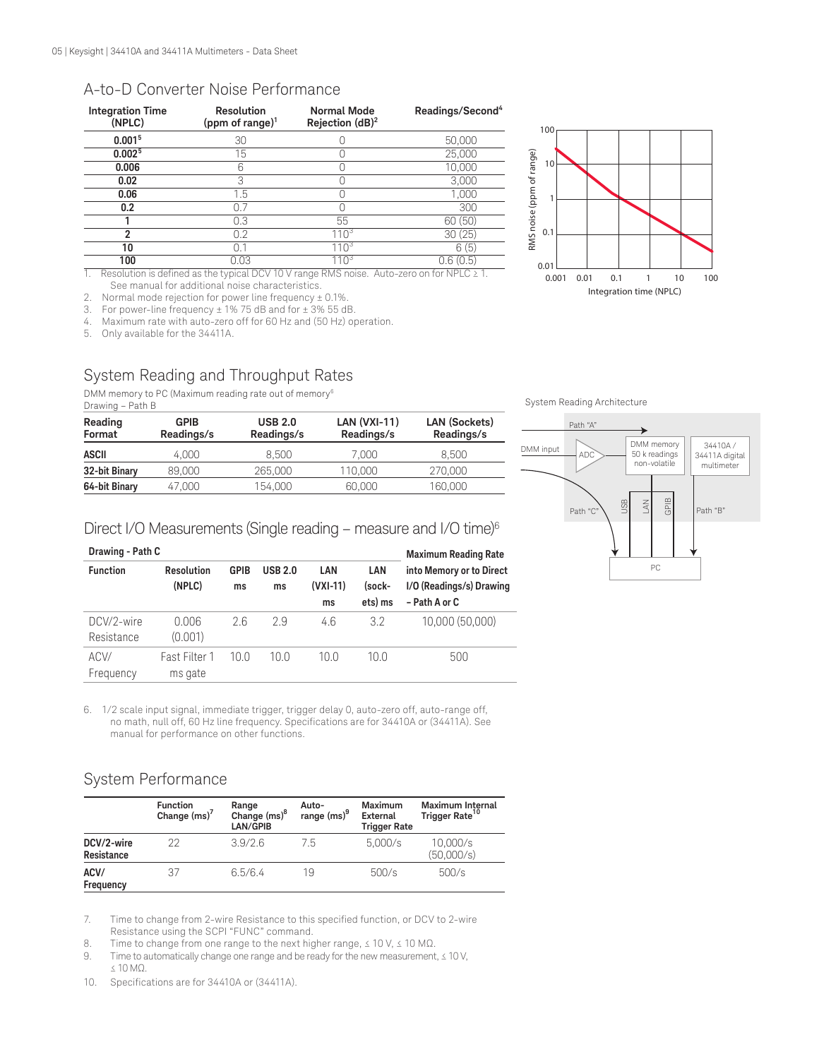#### A-to-D Converter Noise Performance

| <b>Integration Time</b><br>(NPLC) | <b>Resolution</b><br>(ppm of range) $1$ | <b>Normal Mode</b><br>Rejection $(dB)^2$ | Readings/Second <sup>4</sup> |
|-----------------------------------|-----------------------------------------|------------------------------------------|------------------------------|
| 0.001 <sup>5</sup>                | 30                                      |                                          | 50,000                       |
| 0.002 <sup>5</sup>                | 15                                      |                                          | 25,000                       |
| 0.006                             | հ                                       |                                          | 10,000                       |
| 0.02                              | 3                                       |                                          | 3,000                        |
| 0.06                              | 1.5                                     |                                          | 1,000                        |
| 0.2                               | 0.7                                     |                                          | 300                          |
|                                   | 0.3                                     | 55                                       | 60 (50)                      |
| າ                                 | 0.2                                     | $110^{3}$                                | 30(25)                       |
| 10                                | 0.1                                     |                                          | 6(5)                         |
| 100                               | 0.03                                    |                                          | 0.6(0.5)                     |

1. Resolution is defined as the typical DCV 10 V range RMS noise. Auto-zero on for NPLC ≥ 1. See manual for additional noise characteristics.

2. Normal mode rejection for power line frequency  $\pm$  0.1%.<br>3. For power-line frequency  $\pm$  1% 75 dB and for  $\pm$  3% 55 dB For power-line frequency  $\pm$  1% 75 dB and for  $\pm$  3% 55 dB.

4. Maximum rate with auto-zero off for 60 Hz and (50 Hz) operation.

5. Only available for the 34411A.

## System Reading and Throughput Rates

DMM memory to PC (Maximum reading rate out of memory<sup>6</sup>

| Drawing – Path B  |                    |                              |                              |                             |  |
|-------------------|--------------------|------------------------------|------------------------------|-----------------------------|--|
| Reading<br>Format | GPIB<br>Readings/s | <b>USB 2.0</b><br>Readings/s | $LAN (VXI-11)$<br>Readings/s | LAN (Sockets)<br>Readings/s |  |
| <b>ASCII</b>      | 4.000              | 8.500                        | 7.000                        | 8.500                       |  |
| 32-bit Binary     | 89,000             | 265,000                      | 110.000                      | 270,000                     |  |
| 64-bit Binary     | 47,000             | 154.000                      | 60,000                       | 160,000                     |  |

#### System Reading Architecture



#### Direct I/O Measurements (Single reading – measure and I/O time)6

| Drawing - Path C         | <b>Maximum Reading Rate</b> |                   |                      |                         |                          |                                                                       |
|--------------------------|-----------------------------|-------------------|----------------------|-------------------------|--------------------------|-----------------------------------------------------------------------|
| <b>Function</b>          | Resolution<br>(NPLC)        | <b>GPIB</b><br>ms | <b>USB 2.0</b><br>ms | LAN<br>$(VXI-11)$<br>ms | LAN<br>(sock-<br>ets) ms | into Memory or to Direct<br>I/O (Readings/s) Drawing<br>- Path A or C |
| DCV/2-wire<br>Resistance | 0.006<br>(0.001)            | 26                | 29                   | 4.6                     | 3.2                      | 10.000 (50.000)                                                       |
| ACV/<br>Frequency        | Fast Filter 1<br>ms gate    | 10.0              | 10.0                 | 10.0                    | 10.0                     | 500                                                                   |

6. 1/2 scale input signal, immediate trigger, trigger delay 0, auto-zero off, auto-range off, no math, null off, 60 Hz line frequency. Specifications are for 34410A or (34411A). See manual for performance on other functions.

## System Performance

|                          | <b>Function</b><br>Change $(ms)'$ | Range<br>Change (ms) <sup>8</sup><br>LAN/GPIB | Auto-<br>range (ms) <sup>9</sup> | <b>Maximum</b><br>External<br><b>Trigger Rate</b> | <b>Maximum Internal</b><br>Trigger Rate <sup>10</sup> |
|--------------------------|-----------------------------------|-----------------------------------------------|----------------------------------|---------------------------------------------------|-------------------------------------------------------|
| DCV/2-wire<br>Resistance | 22                                | 3.9/2.6                                       | 7.5                              | 5,000/s                                           | 10,000/s<br>(50,000/s)                                |
| ACV/<br>Frequency        | 37                                | 6.5/6.4                                       | 19                               | 500/s                                             | 500/s                                                 |

7. Time to change from 2-wire Resistance to this specified function, or DCV to 2-wire Resistance using the SCPI "FUNC" command.

8. Time to change from one range to the next higher range,  $≤ 10$  V,  $≤ 10$  MΩ.

9. Time to automatically change one range and be ready for the new measurement, ≤ 10 V, ≤ 10 MΩ.

10. Specifications are for 34410A or (34411A).

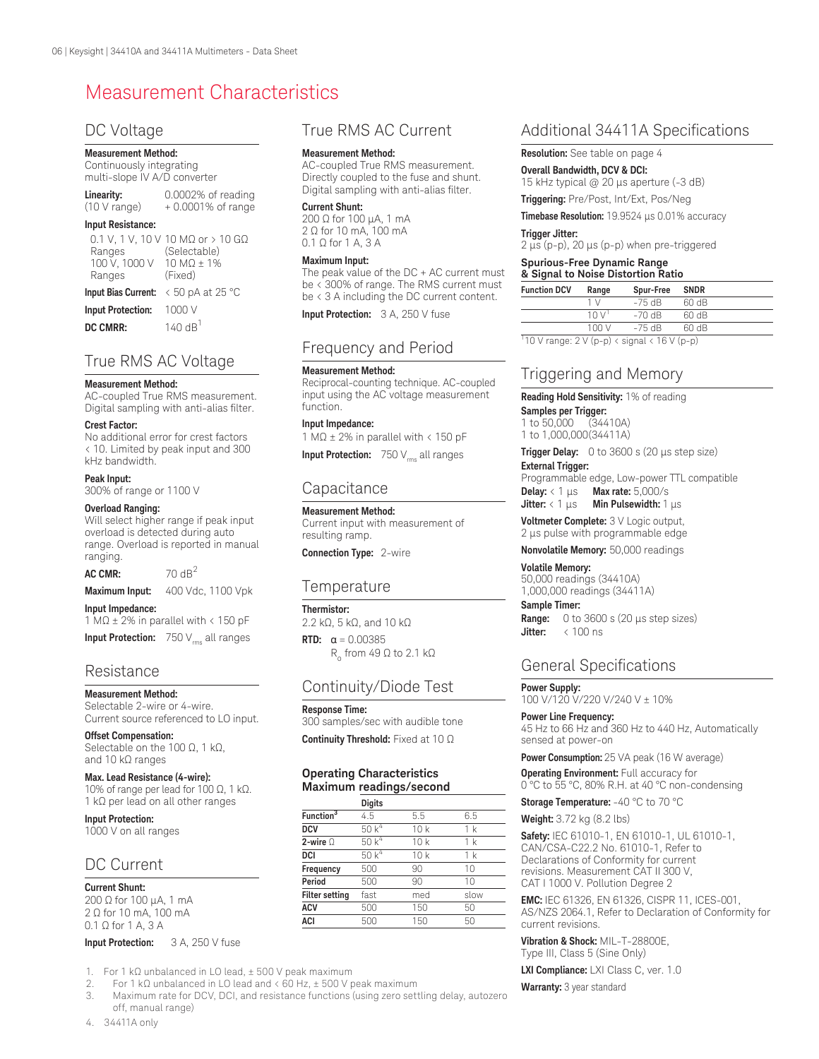# Measurement Characteristics

#### DC Voltage

#### **Measurement Method:**

#### Continuously integrating multi-slope IV A/D converter

| Linearity:   | 0.0002% of reading   |
|--------------|----------------------|
| (10 V range) | $+0.0001\%$ of range |

#### **Input Resistance:**

| Ranges<br>100 V, 1000 V 10 M $\Omega$ ± 1%<br>Ranges | 0.1 V, 1 V, 10 V 10 MΩ or > 10 GΩ<br>(Selectable)<br>(Fixed) |
|------------------------------------------------------|--------------------------------------------------------------|
|                                                      | Input Bias Current: $\leq 50$ pA at 25 °C                    |
| Input Protection: $1000 \text{ V}$                   |                                                              |

**DC CMRR:** 140 dB<sup>1</sup>

#### True RMS AC Voltage

#### **Measurement Method:**

AC-coupled True RMS measurement. Digital sampling with anti-alias filter.

#### **Crest Factor:**

No additional error for crest factors < 10. Limited by peak input and 300 kHz bandwidth.

#### **Peak Input:**

300% of range or 1100 V

#### **Overload Ranging:**

Will select higher range if peak input overload is detected during auto range. Overload is reported in manual ranging.

 $AC CMR: 70 dB<sup>2</sup>$ **Maximum Input:** 400 Vdc, 1100 Vpk

## **Input Impedance:**

1 MΩ ± 2% in parallel with < 150 pF

**Input Protection:** 750 V<sub>rms</sub> all ranges

#### Resistance

#### **Measurement Method:**

Selectable 2-wire or 4-wire. Current source referenced to LO input.

**Offset Compensation:**  Selectable on the 100 Ω, 1 kΩ, and 10 kΩ ranges

#### **Max. Lead Resistance (4-wire):**

10% of range per lead for 100 Ω, 1 kΩ. 1 kΩ per lead on all other ranges

**Input Protection:** 1000 V on all ranges

## DC Current

**Current Shunt:** 200 Ω for 100 µA, 1 mA 2 Ω for 10 mA, 100 mA 0.1 Ω for 1 A, 3 A

#### **Input Protection:** 3 A, 250 V fuse

1. For 1 kΩ unbalanced in LO lead, ± 500 V peak maximum

2. For 1 kΩ unbalanced in LO lead and  $\lt 60$  Hz,  $\pm$  500 V peak maximum<br>3. Maximum rate for DCV, DCL and resistance functions (using zero sett

3. Maximum rate for DCV, DCI, and resistance functions (using zero settling delay, autozero off, manual range)

#### True RMS AC Current

#### **Measurement Method:**

AC-coupled True RMS measurement. Directly coupled to the fuse and shunt. Digital sampling with anti-alias filter.

#### **Current Shunt:**

200 Ω for 100 µA, 1 mA 2 Ω for 10 mA, 100 mA 0.1 Ω for 1 A, 3 A

#### **Maximum Input:**

The peak value of the DC + AC current must be < 300% of range. The RMS current must be < 3 A including the DC current content.

**Input Protection:** 3 A, 250 V fuse

#### Frequency and Period

#### **Measurement Method:**

Reciprocal-counting technique. AC-coupled input using the AC voltage measurement function.

#### **Input Impedance:**

1 MΩ ± 2% in parallel with < 150 pF

**Input Protection:** 750 V<sub>ms</sub> all ranges

#### **Capacitance**

## **Measurement Method:**

Current input with measurement of resulting ramp.

**Connection Type:** 2-wire

#### **Temperature**

**Thermistor:**

2.2 kΩ, 5 kΩ, and 10 kΩ **RTD:** α = 0.00385 R<sub>o</sub> from 49 Ω to 2.1 kΩ

## Continuity/Diode Test

## **Continuity Threshold:** Fixed at 10 Ω

#### **Operating Characteristics Maximum readings/second**

|                       | <b>Digits</b> |     |                |
|-----------------------|---------------|-----|----------------|
| Function $3$          | 4.5           | 5.5 | 6.5            |
| <b>DCV</b>            | 50 $k^4$      | 10k | 1 k            |
| 2-wire $\Omega$       | $50k^4$       | 10k | 1 <sub>k</sub> |
| DCI                   | 50 $k^4$      | 10k | 1 k            |
| Frequency             | 500           | 90  | 10             |
| Period                | 500           | 90  | 10             |
| <b>Filter setting</b> | fast          | med | slow           |
| <b>ACV</b>            | 500           | 150 | 50             |
| <b>ACI</b>            | 500           | 150 | 50             |

## Additional 34411A Specifications

**Resolution:** See table on page 4

**Overall Bandwidth, DCV & DCI:**  15 kHz typical @ 20 µs aperture (-3 dB)

**Triggering:** Pre/Post, Int/Ext, Pos/Neg

**Timebase Resolution:** 19.9524 µs 0.01% accuracy

#### **Trigger Jitter:**

 $2 \mu s$  (p-p), 20  $\mu s$  (p-p) when pre-triggered

#### **Spurious-Free Dynamic Range & Signal to Noise Distortion Ratio**

|                     | <u>a bigilat to indisc Distortion Indiio</u> |           |             |  |  |
|---------------------|----------------------------------------------|-----------|-------------|--|--|
| <b>Function DCV</b> | Range                                        | Spur-Free | <b>SNDR</b> |  |  |
|                     | 1 <sub>1</sub>                               | $-75$ dB  | 60 dB       |  |  |
|                     | 10V                                          | $-70$ dB  | 60 dB       |  |  |
|                     | 100V                                         | $-75$ dB  | 60 dB       |  |  |

 $\frac{1}{10}$  V range: 2 V (p-p) < signal < 16 V (p-p)

## Triggering and Memory

**Reading Hold Sensitivity:** 1% of reading

#### **Samples per Trigger:**

1 to 50,000 (34410A) 1 to 1,000,000(34411A)

**Trigger Delay:** 0 to 3600 s (20 µs step size)

#### **External Trigger:**

Programmable edge, Low-power TTL compatible **Delay:** < 1 μs **Max rate:** 5,000/s **Jitter:** < 1 μs **Min Pulsewidth:** 1 μs

**Voltmeter Complete:** 3 V Logic output, 2 us pulse with programmable edge

**Nonvolatile Memory:** 50,000 readings

#### **Volatile Memory:**

50,000 readings (34410A) 1,000,000 readings (34411A)

#### **Sample Timer:**

**Range:** 0 to 3600 s (20 µs step sizes) Jitter: < 100 ns

#### General Specifications

#### **Power Supply:**

100 V/120 V/220 V/240 V ± 10%

**Power Line Frequency:** 45 Hz to 66 Hz and 360 Hz to 440 Hz, Automatically sensed at power-on

**Power Consumption:** 25 VA peak (16 W average)

**Operating Environment:** Full accuracy for 0 °C to 55 °C, 80% R.H. at 40 °C non-condensing

**Storage Temperature:** -40 °C to 70 °C

**Weight:** 3.72 kg (8.2 lbs)

**Safety:** IEC 61010-1, EN 61010-1, UL 61010-1, CAN/CSA-C22.2 No. 61010-1, Refer to Declarations of Conformity for current revisions. Measurement CAT II 300 V, CAT I 1000 V. Pollution Degree 2

**EMC:** IEC 61326, EN 61326, CISPR 11, ICES-001, AS/NZS 2064.1, Refer to Declaration of Conformity for current revisions.

**Vibration & Shock:** MIL-T-28800E, Type III, Class 5 (Sine Only)

**LXI Compliance:** LXI Class C, ver. 1.0

**Warranty:** 3 year standard

**Response Time:**  300 samples/sec with audible tone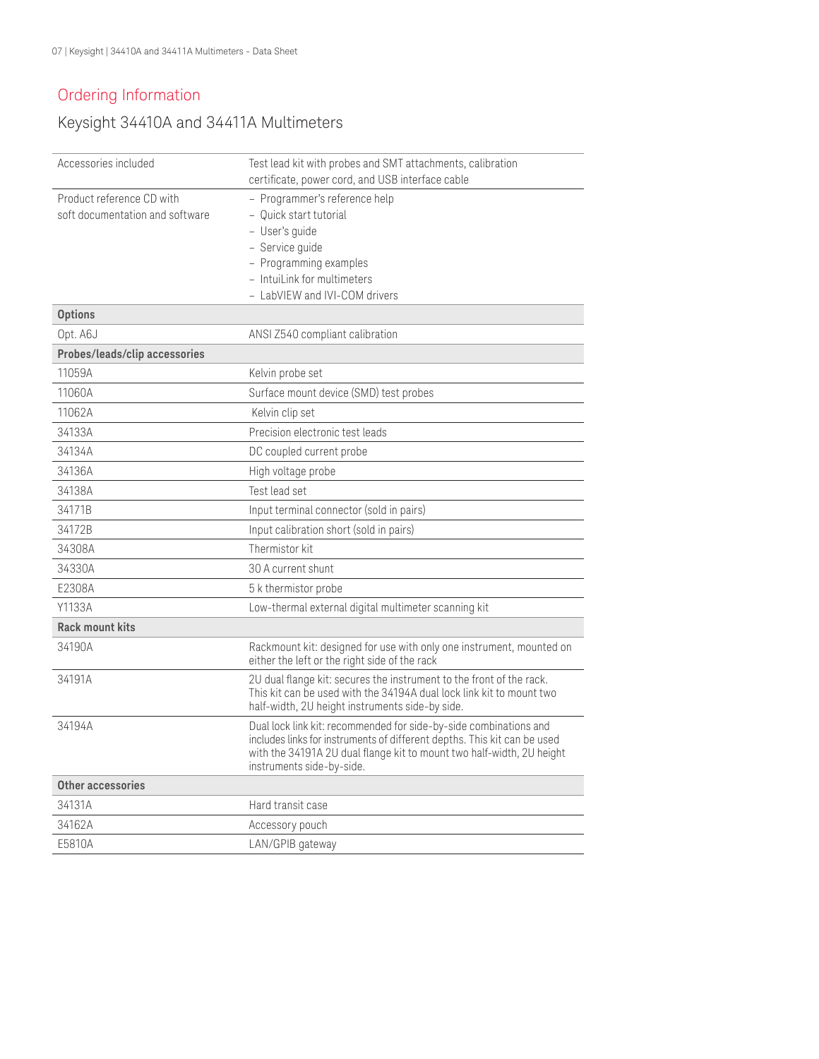## Ordering Information

## Keysight 34410A and 34411A Multimeters

| Accessories included                                         | Test lead kit with probes and SMT attachments, calibration                                                                                                                                                                                          |
|--------------------------------------------------------------|-----------------------------------------------------------------------------------------------------------------------------------------------------------------------------------------------------------------------------------------------------|
|                                                              | certificate, power cord, and USB interface cable                                                                                                                                                                                                    |
| Product reference CD with<br>soft documentation and software | - Programmer's reference help<br>- Quick start tutorial                                                                                                                                                                                             |
|                                                              | - User's guide                                                                                                                                                                                                                                      |
|                                                              | - Service guide                                                                                                                                                                                                                                     |
|                                                              | - Programming examples                                                                                                                                                                                                                              |
|                                                              | - IntuiLink for multimeters                                                                                                                                                                                                                         |
|                                                              | - LabVIEW and IVI-COM drivers                                                                                                                                                                                                                       |
| <b>Options</b>                                               |                                                                                                                                                                                                                                                     |
| Opt. A6J                                                     | ANSI Z540 compliant calibration                                                                                                                                                                                                                     |
| Probes/leads/clip accessories                                |                                                                                                                                                                                                                                                     |
| 11059A                                                       | Kelvin probe set                                                                                                                                                                                                                                    |
| 11060A                                                       | Surface mount device (SMD) test probes                                                                                                                                                                                                              |
| 11062A                                                       | Kelvin clip set                                                                                                                                                                                                                                     |
| 34133A                                                       | Precision electronic test leads                                                                                                                                                                                                                     |
| 34134A                                                       | DC coupled current probe                                                                                                                                                                                                                            |
| 34136A                                                       | High voltage probe                                                                                                                                                                                                                                  |
| 34138A                                                       | Test lead set                                                                                                                                                                                                                                       |
| 34171B                                                       | Input terminal connector (sold in pairs)                                                                                                                                                                                                            |
| 34172B                                                       | Input calibration short (sold in pairs)                                                                                                                                                                                                             |
| 34308A                                                       | Thermistor kit                                                                                                                                                                                                                                      |
| 34330A                                                       | 30 A current shunt                                                                                                                                                                                                                                  |
| E2308A                                                       | 5 k thermistor probe                                                                                                                                                                                                                                |
| Y1133A                                                       | Low-thermal external digital multimeter scanning kit                                                                                                                                                                                                |
| <b>Rack mount kits</b>                                       |                                                                                                                                                                                                                                                     |
| 34190A                                                       | Rackmount kit: designed for use with only one instrument, mounted on<br>either the left or the right side of the rack                                                                                                                               |
| 34191A                                                       | 2U dual flange kit: secures the instrument to the front of the rack.<br>This kit can be used with the 34194A dual lock link kit to mount two<br>half-width, 2U height instruments side-by side.                                                     |
| 34194A                                                       | Dual lock link kit: recommended for side-by-side combinations and<br>includes links for instruments of different depths. This kit can be used<br>with the 34191A 2U dual flange kit to mount two half-width, 2U height<br>instruments side-by-side. |
| Other accessories                                            |                                                                                                                                                                                                                                                     |
| 34131A                                                       | Hard transit case                                                                                                                                                                                                                                   |
| 34162A                                                       | Accessory pouch                                                                                                                                                                                                                                     |
| E5810A                                                       | LAN/GPIB gateway                                                                                                                                                                                                                                    |